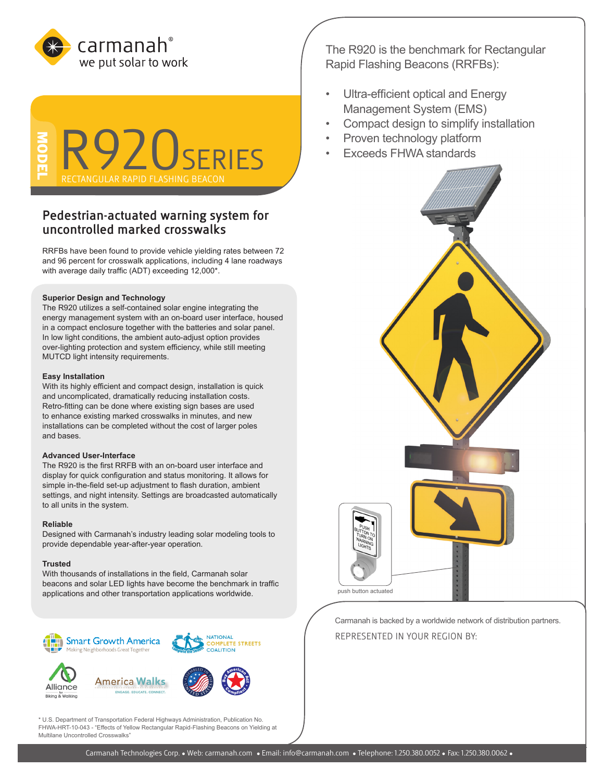



# **Pedestrian-actuated warning system for uncontrolled marked crosswalks**

RRFBs have been found to provide vehicle yielding rates between 72 and 96 percent for crosswalk applications, including 4 lane roadways with average daily traffic (ADT) exceeding 12,000\*.

# **Superior Design and Technology**

The R920 utilizes a self-contained solar engine integrating the energy management system with an on-board user interface, housed in a compact enclosure together with the batteries and solar panel. In low light conditions, the ambient auto-adjust option provides over-lighting protection and system efficiency, while still meeting MUTCD light intensity requirements.

#### **Easy Installation**

With its highly efficient and compact design, installation is quick and uncomplicated, dramatically reducing installation costs. Retro-fitting can be done where existing sign bases are used to enhance existing marked crosswalks in minutes, and new installations can be completed without the cost of larger poles and bases.

## **Advanced User-Interface**

The R920 is the first RRFB with an on-board user interface and display for quick configuration and status monitoring. It allows for simple in-the-field set-up adjustment to flash duration, ambient settings, and night intensity. Settings are broadcasted automatically to all units in the system.

### **Reliable**

Designed with Carmanah's industry leading solar modeling tools to provide dependable year-after-year operation.

#### **Trusted**

With thousands of installations in the field, Carmanah solar beacons and solar LED lights have become the benchmark in traffic applications and other transportation applications worldwide.



\* U.S. Department of Transportation Federal Highways Administration, Publication No. FHWA-HRT-10-043 - "Effects of Yellow Rectangular Rapid-Flashing Beacons on Yielding at Multilane Uncontrolled Crosswalks"

The R920 is the benchmark for Rectangular Rapid Flashing Beacons (RRFBs):

- Ultra-efficient optical and Energy Management System (EMS)
- Compact design to simplify installation
- Proven technology platform
- Exceeds FHWA standards



Carmanah is backed by a worldwide network of distribution partners. REPRESENTED IN YOUR REGION BY: